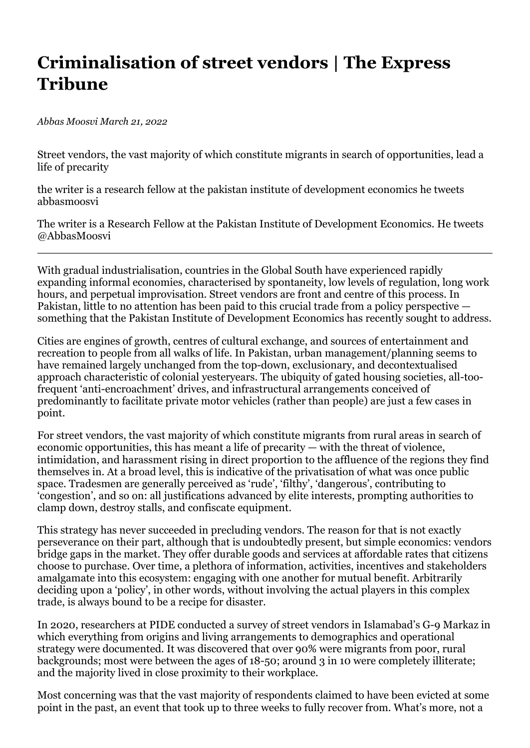## **Criminalisation of street vendors | The Express Tribune**

*Abbas Moosvi March 21, 2022*

Street vendors, the vast majority of which constitute migrants in search of opportunities, lead a life of precarity

the writer is a research fellow at the pakistan institute of development economics he tweets abbasmoosvi

The writer is a Research Fellow at the Pakistan Institute of Development Economics. He tweets @AbbasMoosvi

With gradual industrialisation, countries in the Global South have experienced rapidly expanding informal economies, characterised by spontaneity, low levels of regulation, long work hours, and perpetual improvisation. Street vendors are front and centre of this process. In Pakistan, little to no attention has been paid to this crucial trade from a policy perspective something that the Pakistan Institute of Development Economics has recently sought to address.

Cities are engines of growth, centres of cultural exchange, and sources of entertainment and recreation to people from all walks of life. In Pakistan, urban management/planning seems to have remained largely unchanged from the top-down, exclusionary, and decontextualised approach characteristic of colonial yesteryears. The ubiquity of gated housing societies, all-toofrequent 'anti-encroachment' drives, and infrastructural arrangements conceived of predominantly to facilitate private motor vehicles (rather than people) are just a few cases in point.

For street vendors, the vast majority of which constitute migrants from rural areas in search of economic opportunities, this has meant a life of precarity — with the threat of violence, intimidation, and harassment rising in direct proportion to the affluence of the regions they find themselves in. At a broad level, this is indicative of the privatisation of what was once public space. Tradesmen are generally perceived as 'rude', 'filthy', 'dangerous', contributing to 'congestion', and so on: all justifications advanced by elite interests, prompting authorities to clamp down, destroy stalls, and confiscate equipment.

This strategy has never succeeded in precluding vendors. The reason for that is not exactly perseverance on their part, although that is undoubtedly present, but simple economics: vendors bridge gaps in the market. They offer durable goods and services at affordable rates that citizens choose to purchase. Over time, a plethora of information, activities, incentives and stakeholders amalgamate into this ecosystem: engaging with one another for mutual benefit. Arbitrarily deciding upon a 'policy', in other words, without involving the actual players in this complex trade, is always bound to be a recipe for disaster.

In 2020, researchers at PIDE conducted a survey of street vendors in Islamabad's G-9 Markaz in which everything from origins and living arrangements to demographics and operational strategy were documented. It was discovered that over 90% were migrants from poor, rural backgrounds; most were between the ages of 18-50; around 3 in 10 were completely illiterate; and the majority lived in close proximity to their workplace.

Most concerning was that the vast majority of respondents claimed to have been evicted at some point in the past, an event that took up to three weeks to fully recover from. What's more, not a